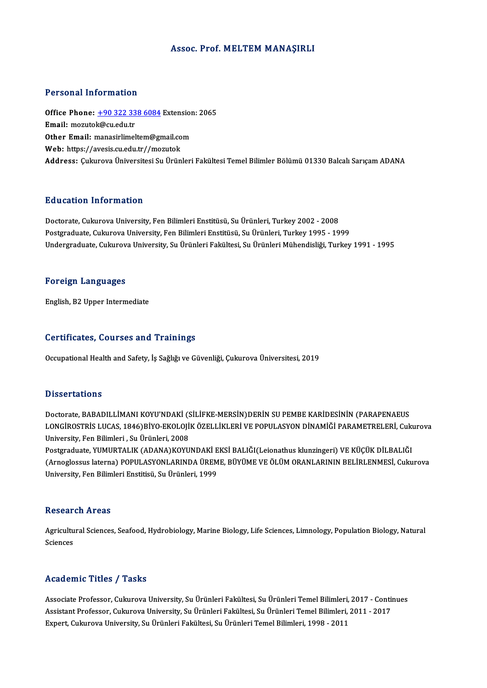## Assoc. Prof. MELTEM MANAŞIRLI

## Personal Information

Personal Information<br>Office Phone: <u>+90 322 338 6084</u> Extension: 2065<br>Email: merutek@cu.edu.tr Fersonar mormation<br>Office Phone: <u>+90 322 33</u><br>Email: mozutok@cu.edu.tr Office Phone: <u>+90 322 338 6084</u> Extension<br>Email: mozutok@cu.edu.tr<br>Other Email: [manasirlimeltem@gm](tel:+90 322 338 6084)ail.com Email: mozutok@cu.edu.tr<br>Other Email: manasirlimeltem@gmail.com<br>Web: https://avesis.cu.edu.tr//mozutok Address: Çukurova Üniversitesi Su Ürünleri Fakültesi Temel Bilimler Bölümü 01330 Balcalı Sarıçam ADANA

## Education Information

Doctorate, Cukurova University, Fen Bilimleri Enstitüsü, Su Ürünleri, Turkey 2002 - 2008 Postgraduate, Cukurova University, Fen Bilimleri Enstitüsü, Su Ürünleri, Turkey 1995 - 1999 Undergraduate, Cukurova University, Su Ürünleri Fakültesi, Su Ürünleri Mühendisliği, Turkey 1991 - 1995

## Foreign Languages

English,B2Upper Intermediate

## Certificates, Courses and Trainings

Occupational Health and Safety, İş Sağlığı ve Güvenliği, Çukurova Üniversitesi, 2019

## **Dissertations**

Dissertations<br>Doctorate, BABADILLİMANI KOYU'NDAKİ (SİLİFKE-MERSİN)DERİN SU PEMBE KARİDESİNİN (PARAPENAEUS<br>LONGİROSTRİS LUCAS 1946)RİYO EKOLOJİK ÖZELLİKLERİ VE ROPULASYON DİNAMİĞI RARAMETRELERİ Cul D'ISSOI CALIO'NS<br>Doctorate, BABADILLİMANI KOYU'NDAKİ (SİLİFKE-MERSİN)DERİN SU PEMBE KARİDESİNİN (PARAPENAEUS<br>LONGİROSTRİS LUCAS, 1846)BİYO-EKOLOJİK ÖZELLİKLERİ VE POPULASYON DİNAMİĞİ PARAMETRELERİ, Cukurova Doctorate, BABADILLİMANI KOYU'NDAKİ (S. 1846)<br>LONGİROSTRİS LUCAS, 1846)BİYO-EKOLOJİ<br>University, Fen Bilimleri , Su Ürünleri, 2008<br>Postaraduata, YUMURTALIK (ADANA)KOYU LONGİROSTRİS LUCAS, 1846)BİYO-EKOLOJİK ÖZELLİKLERİ VE POPULASYON DİNAMİĞİ PARAMETRELERİ, Cukı<br>University, Fen Bilimleri , Su Ürünleri, 2008<br>Postgraduate, YUMURTALIK (ADANA)KOYUNDAKİ EKSİ BALIĞI(Leionathus klunzingeri) VE K

University, Fen Bilimleri , Su Ürünleri, 2008<br>Postgraduate, YUMURTALIK (ADANA)KOYUNDAKİ EKSİ BALIĞI(Leionathus klunzingeri) VE KÜÇÜK DİLBALIĞI<br>(Arnoglossus laterna) POPULASYONLARINDA ÜREME, BÜYÜME VE ÖLÜM ORANLARININ BELİR Postgraduate, YUMURTALIK (ADANA)KOYUNDAKİ E<br>(Arnoglossus laterna) POPULASYONLARINDA ÜREM<br>University, Fen Bilimleri Enstitisü, Su Ürünleri, 1999

## **Research Areas**

Research Areas<br>Agricultural Sciences, Seafood, Hydrobiology, Marine Biology, Life Sciences, Limnology, Population Biology, Natural<br>Sciences Agricultu<br>Sciences Academic Titles / Tasks

Associate Professor, Cukurova University, Su Ürünleri Fakültesi, Su Ürünleri Temel Bilimleri, 2017 - Continues Associate Professor, Cukurova University, Su Ürünleri Fakültesi, Su Ürünleri Temel Bilimleri, 2017 - Contin<br>Assistant Professor, Cukurova University, Su Ürünleri Fakültesi, Su Ürünleri Temel Bilimleri, 2011 - 2017<br>Evnert, Associate Professor, Cukurova University, Su Ürünleri Fakültesi, Su Ürünleri Temel Bilimleri,<br>Assistant Professor, Cukurova University, Su Ürünleri Fakültesi, Su Ürünleri Temel Bilimleri, :<br>Expert, Cukurova University, Su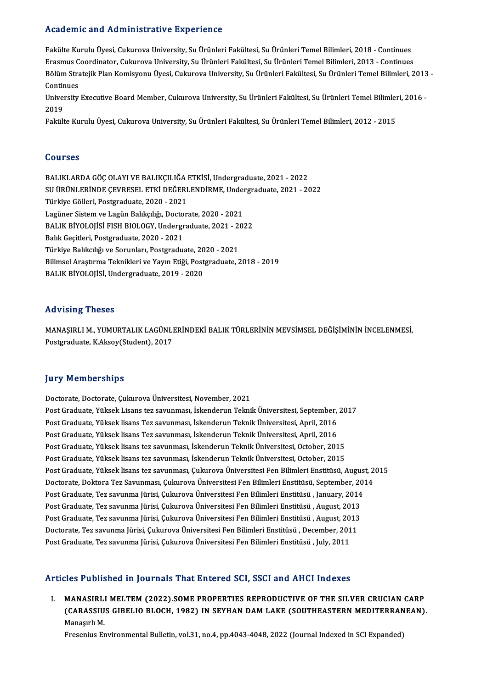## Academic and Administrative Experience

Fakülte Kurulu Üyesi, Cukurova University, Su Ürünleri Fakültesi, Su Ürünleri Temel Bilimleri, 2018 - Continues Erasmus Coordinator, Cukurova University, Su Ürünleri Fakültesi, Su Ürünleri Temel Bilimleri, 2013 - Continues Fakülte Kurulu Üyesi, Cukurova University, Su Ürünleri Fakültesi, Su Ürünleri Temel Bilimleri, 2018 - Continues<br>Erasmus Coordinator, Cukurova University, Su Ürünleri Fakültesi, Su Ürünleri Temel Bilimleri, 2013 - Continues Erasmus C<br>Bölüm Stra<br>Continues<br>University Bölüm Stratejik Plan Komisyonu Üyesi, Cukurova University, Su Ürünleri Fakültesi, Su Ürünleri Temel Bilimleri, 2013<br>Continues<br>University Executive Board Member, Cukurova University, Su Ürünleri Fakültesi, Su Ürünleri Temel

Conti<mark>r</mark><br>Univer<br>2019<br>Folgitt University Executive Board Member, Cukurova University, Su Ürünleri Fakültesi, Su Ürünleri Temel Bilimleı<br>2019<br>Fakülte Kurulu Üyesi, Cukurova University, Su Ürünleri Fakültesi, Su Ürünleri Temel Bilimleri, 2012 - 2015

Fakülte Kurulu Üyesi, Cukurova University, Su Ürünleri Fakültesi, Su Ürünleri Temel Bilimleri, 2012 - 2015<br>Courses

Courses<br>BALIKLARDA GÖÇ OLAYI VE BALIKÇILIĞA ETKİSİ, Undergraduate, 2021 - 2022<br>SU ÜPÜNLERİNDE GEVRESEL ETKİ DEĞERLENDİRME Undergraduate, 2021 - 20 SOGTBES<br>BALIKLARDA GÖÇ OLAYI VE BALIKÇILIĞA ETKİSİ, Undergraduate, 2021 - 2022<br>SU ÜRÜNLERİNDE ÇEVRESEL ETKİ DEĞERLENDİRME, Undergraduate, 2021 - 2022<br>Türkiye Gölleri, Bestaradusta, 2020, -2021 BALIKLARDA GÖÇ OLAYI VE BALIKÇILIĞA<br>SU ÜRÜNLERİNDE ÇEVRESEL ETKİ DEĞERI<br>Türkiye Gölleri, Postgraduate, 2020 - 2021<br>Legüner Sistem ve Legün Balıkalığı, Desten SU ÜRÜNLERİNDE ÇEVRESEL ETKİ DEĞERLENDİRME, Under<br>Türkiye Gölleri, Postgraduate, 2020 - 2021<br>Lagüner Sistem ve Lagün Balıkçılığı, Doctorate, 2020 - 2021<br>BALIK PİVOLOUSİ EISH PIOLOCY, Undergraduata, 2021 - 20 Türkiye Gölleri, Postgraduate, 2020 - 2021<br>Lagüner Sistem ve Lagün Balıkçılığı, Doctorate, 2020 - 2021<br>BALIK BİYOLOJİSİ FISH BIOLOGY, Undergraduate, 2021 - 2022<br>Balık Gesitleri, Bestaraduata 2020, 2021 Lagüner Sistem ve Lagün Balıkçılığı, Docto<br>BALIK BİYOLOJİSİ FISH BIOLOGY, Undergr<br>Balık Geçitleri, Postgraduate, 2020 - 2021<br>Türkiye Balıkçılığı ve Serunları, Bestgradu BALIK BİYOLOJİSİ FISH BIOLOGY, Undergraduate, 2021 - 2022<br>Balık Geçitleri, Postgraduate, 2020 - 2021<br>Türkiye Balıkcılığı ve Sorunları, Postgraduate, 2020 - 2021 Bilimsel Araştırma Teknikleri ve Yayın Etiği, Postgraduate, 2018 - 2019 BALIK BİYOLOJİSİ, Undergraduate, 2019 - 2020

## Advising Theses

Advising Theses<br>MANAŞIRLI M., YUMURTALIK LAGÜNLERİNDEKİ BALIK TÜRLERİNİN MEVSİMSEL DEĞİŞİMİNİN İNCELENMESİ,<br>Pestanaduata K Aksev(Student), 2017 rra vising "Freses"<br>MANAŞIRLI M., YUMURTALIK LAGÜNLI<br>Postgraduate, K.Aksoy(Student), 2017 Postgraduate, K.Aksoy(Student), 2017<br>Jury Memberships

Doctorate, Doctorate, Çukurova Üniversitesi, November, 2021 Post Graduate, Yüksek Lisans tez savunması, İskenderun Teknik Üniversitesi, September, 2017 Doctorate, Doctorate, Çukurova Üniversitesi, November, 2021<br>Post Graduate, Yüksek Lisans tez savunması, İskenderun Teknik Üniversitesi, September,<br>Post Graduate, Yüksek lisans Tez savunması, İskenderun Teknik Üniversitesi, Post Graduate, Yüksek Lisans tez savunması, İskenderun Teknik Üniversitesi, September,<br>Post Graduate, Yüksek lisans Tez savunması, İskenderun Teknik Üniversitesi, April, 2016<br>Post Graduate, Yüksek lisans Tez savunması, İsk Post Graduate, Yüksek lisans Tez savunması, İskenderun Teknik Üniversitesi, April, 2016<br>Post Graduate, Yüksek lisans Tez savunması, İskenderun Teknik Üniversitesi, April, 2016<br>Post Graduate, Yüksek lisans tez savunması, İs Post Graduate, Yüksek lisans Tez savunması, İskenderun Teknik Üniversitesi, April, 2016<br>Post Graduate, Yüksek lisans tez savunması, İskenderun Teknik Üniversitesi, October, 2015<br>Post Graduate, Yüksek lisans tez savunması, Post Graduate, Yüksek lisans tez savunması, İskenderun Teknik Üniversitesi, October, 2015<br>Post Graduate, Yüksek lisans tez savunması, İskenderun Teknik Üniversitesi, October, 2015<br>Post Graduate, Yüksek lisans tez savunması Post Graduate, Yüksek lisans tez savunması, İskenderun Teknik Üniversitesi, October, 2015<br>Post Graduate, Yüksek lisans tez savunması, Çukurova Üniversitesi Fen Bilimleri Enstitüsü, August, 2<br>Doctorate, Doktora Tez Savunmas Post Graduate, Yüksek lisans tez savunması, Çukurova Üniversitesi Fen Bilimleri Enstitüsü, Augus<br>Doctorate, Doktora Tez Savunması, Çukurova Üniversitesi Fen Bilimleri Enstitüsü, September, 201<br>Post Graduate, Tez savunma Jü Doctorate, Doktora Tez Savunması, Çukurova Üniversitesi Fen Bilimleri Enstitüsü, September, 20<br>Post Graduate, Tez savunma Jürisi, Çukurova Üniversitesi Fen Bilimleri Enstitüsü , January, 2014<br>Post Graduate, Tez savunma Jür Post Graduate, Tez savunma Jürisi, Çukurova Üniversitesi Fen Bilimleri Enstitüsü , January, 2014<br>Post Graduate, Tez savunma Jürisi, Çukurova Üniversitesi Fen Bilimleri Enstitüsü , August, 2013<br>Post Graduate, Tez savunma Jü Post Graduate, Tez savunma Jürisi, Çukurova Üniversitesi Fen Bilimleri Enstitüsü , August, 2013<br>Post Graduate, Tez savunma Jürisi, Çukurova Üniversitesi Fen Bilimleri Enstitüsü , August, 2013<br>Doctorate, Tez savunma Jürisi, Post Graduate, Tez savunma Jürisi, Çukurova Üniversitesi Fen Bilimleri Enstitüsü , August, 20<br>Doctorate, Tez savunma Jürisi, Çukurova Üniversitesi Fen Bilimleri Enstitüsü , December, 201<br>Post Graduate, Tez savunma Jürisi, Post Graduate, Tez savunma Jürisi, Çukurova Üniversitesi Fen Bilimleri Enstitüsü , July, 2011<br>Articles Published in Journals That Entered SCI, SSCI and AHCI Indexes

I. MANASIRLI MELTEM (2022).SOME PROPERTIES REPRODUCTIVE OF THE SILVER CRUCIAN CARP (COTT WOMONOW IN JOUTNUM THUC BRICTON OOY) OOST UNW THICT INNONOS<br>MANASIRLI MELTEM (2022).SOME PROPERTIES REPRODUCTIVE OF THE SILVER CRUCIAN CARP<br>(CARASSIUS GIBELIO BLOCH, 1982) IN SEYHAN DAM LAKE (SOUTHEASTERN MEDITERRANE MANASIRL<br>(CARASSIU<br>Manaşırlı M.<br>Fresonius Er (CARASSIUS GIBELIO BLOCH, 1982) IN SEYHAN DAM LAKE (SOUTHEASTERN MEDITERRAN<br>Manaşırlı M.<br>Fresenius Environmental Bulletin, vol.31, no.4, pp.4043-4048, 2022 (Journal Indexed in SCI Expanded)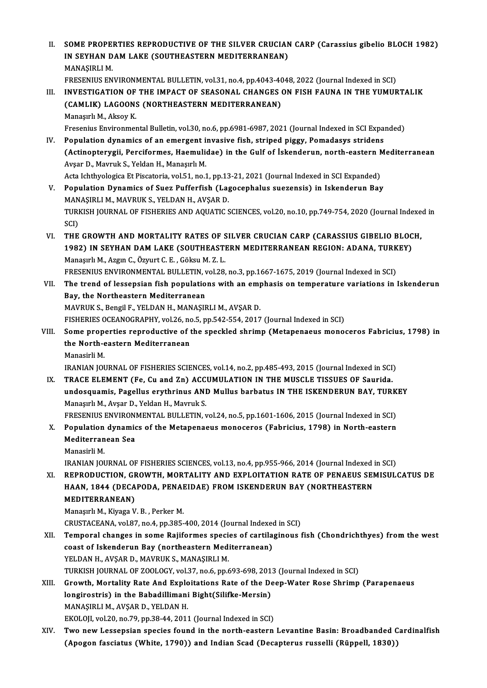II. SOME PROPERTIES REPRODUCTIVE OF THE SILVER CRUCIAN CARP (Carassius gibelio BLOCH 1982)<br>IN SEVUAN DAM LAKE (SOUTUEASTERN MEDITERRANEAN) SOME PROPERTIES REPRODUCTIVE OF THE SILVER CRUCIAN<br>IN SEYHAN DAM LAKE (SOUTHEASTERN MEDITERRANEAN)<br>MANASIRLIM SOME PROPE<br>IN SEYHAN D<br>MANAŞIRLI M.<br>EDESENIJIS EN IN SEYHAN DAM LAKE (SOUTHEASTERN MEDITERRANEAN)<br>MANAŞIRLI M.<br>FRESENIUS ENVIRONMENTAL BULLETIN, vol.31, no.4, pp.4043-4048, 2022 (Journal Indexed in SCI)<br>INVESTIC ATION OF THE IMPACT OF SEASONAL CHANCES ON EISH FAIJNA IN TH MANAŞIRLI M.<br>FRESENIUS ENVIRONMENTAL BULLETIN, vol.31, no.4, pp.4043-4048, 2022 (Journal Indexed in SCI)<br>III. INVESTIGATION OF THE IMPACT OF SEASONAL CHANGES ON FISH FAUNA IN THE YUMURTALIK FRESENIUS ENVIRONMENTAL BULLETIN, vol.31, no.4, pp.4043-40<br>INVESTIGATION OF THE IMPACT OF SEASONAL CHANGES<br>(CAMLIK) LAGOONS (NORTHEASTERN MEDITERRANEAN)<br>Managurl M. Aksov K (CAMLIK) LAGOONS (NORTHEASTERN MEDITERRANEAN)<br>Manaşırlı M., Aksoy K. Fresenius Environmental Bulletin, vol.30, no.6, pp.6981-6987, 2021 (Journal Indexed in SCI Expanded) IV. Population dynamics of an emergent invasive fish, striped piggy, Pomadasys stridens Fresenius Environmental Bulletin, vol.30, no.6, pp.6981-6987, 2021 (Journal Indexed in SCI Expanded)<br>Population dynamics of an emergent invasive fish, striped piggy, Pomadasys stridens<br>(Actinopterygii, Perciformes, Haemuli Population dynamics of an emergent in<br>(Actinopterygii, Perciformes, Haemulio<br>Avşar D., Mavruk S., Yeldan H., Manaşırlı M.<br>Acta Johthualagica Et Bissatoria val 51 na 1 (Actinopterygii, Perciformes, Haemulidae) in the Gulf of İskenderun, north-eastern N<br>Avşar D., Mavruk S., Yeldan H., Manaşırlı M.<br>Acta Ichthyologica Et Piscatoria, vol.51, no.1, pp.13-21, 2021 (Journal Indexed in SCI Expan Avşar D., Mavruk S., Yeldan H., Manaşırlı M.<br>Acta Ichthyologica Et Piscatoria, vol.51, no.1, pp.13-21, 2021 (Journal Indexed in SCI Expanded)<br>V. Population Dynamics of Suez Pufferfish (Lagocephalus suezensis) in Iskend Acta Ichthyologica Et Piscatoria, vol.51, no.1, pp.13<br>Population Dynamics of Suez Pufferfish (Lag<br>MANAŞIRLI M., MAVRUK S., YELDAN H., AVŞAR D.<br>TURKISLI JOURNAL OF FISHEDIES AND AQUATIC S Population Dynamics of Suez Pufferfish (Lagocephalus suezensis) in Iskenderun Bay<br>MANAŞIRLI M., MAVRUK S., YELDAN H., AVŞAR D.<br>TURKISH JOURNAL OF FISHERIES AND AQUATIC SCIENCES, vol.20, no.10, pp.749-754, 2020 (Journal Ind MAN<br>TURI<br>SCI)<br>TUF TURKISH JOURNAL OF FISHERIES AND AQUATIC SCIENCES, vol.20, no.10, pp.749-754, 2020 (Journal Indexe<br>SCI)<br>VI. THE GROWTH AND MORTALITY RATES OF SILVER CRUCIAN CARP (CARASSIUS GIBELIO BLOCH, 5CI)<br>1982) VI. THE GROWTH AND MORTALITY RATES OF SILVER CRUCIAN CARP (CARASSIUS GIBELIO BLOCH,<br>1982) IN SEYHAN DAM LAKE (SOUTHEASTERN MEDITERRANEAN REGION: ADANA, TURKEY) ManaşırlıM.,AzgınC.,ÖzyurtC.E. ,GöksuM.Z.L. 1982) IN SEYHAN DAM LAKE (SOUTHEASTERN MEDITERRANEAN REGION: ADANA, TURK<br>Manaşırlı M., Azgın C., Özyurt C. E. , Göksu M. Z. L.<br>FRESENIUS ENVIRONMENTAL BULLETIN, vol.28, no.3, pp.1667-1675, 2019 (Journal Indexed in SCI)<br>The VII. The trend of lessepsian fish populations with an emphasis on temperature variations in Iskenderun<br>Bay, the Northeastern Mediterranean FRESENIUS ENVIRONMENTAL BULLETIN, v<br>The trend of lessepsian fish populatio<br>Bay, the Northeastern Mediterranean<br>MAVPUK S. Bongil E. YELDAN H. MANASIE MAVRUK S., Bengil F., YELDAN H., MANAŞIRLI M., AVŞAR D. Bay, the Northeastern Mediterranean<br>MAVRUK S., Bengil F., YELDAN H., MANAŞIRLI M., AVŞAR D.<br>FISHERIES OCEANOGRAPHY, vol.26, no.5, pp.542-554, 2017 (Journal Indexed in SCI)<br>Seme properties reproductive of the speckled shrim MAVRUK S., Bengil F., YELDAN H., MANAŞIRLI M., AVŞAR D.<br>FISHERIES OCEANOGRAPHY, vol.26, no.5, pp.542-554, 2017 (Journal Indexed in SCI)<br>VIII. Some properties reproductive of the speckled shrimp (Metapenaeus monoceros Fabri FISHERIES OCEANOGRAPHY, vol.26, no<br>Some properties reproductive of t<br>the North-eastern Mediterranean<br>Manacirli M Some prope<br>the North-e<br>Manasirli M.<br>IPANIAN IOI the North-eastern Mediterranean<br>Manasirli M.<br>IRANIAN JOURNAL OF FISHERIES SCIENCES, vol.14, no.2, pp.485-493, 2015 (Journal Indexed in SCI) Manasirli M.<br>IRANIAN JOURNAL OF FISHERIES SCIENCES, vol.14, no.2, pp.485-493, 2015 (Journal Indexed in SCI)<br>IX. TRACE ELEMENT (Fe, Cu and Zn) ACCUMULATION IN THE MUSCLE TISSUES OF Saurida. IRANIAN JOURNAL OF FISHERIES SCIENCES, vol.14, no.2, pp.485-493, 2015 (Journal Indexed in SCI)<br>TRACE ELEMENT (Fe, Cu and Zn) ACCUMULATION IN THE MUSCLE TISSUES OF Saurida.<br>undosquamis, Pagellus erythrinus AND Mullus barbat TRACE ELEMENT (Fe, Cu and Zn) ACC<br>undosquamis, Pagellus erythrinus ANI<br>Manaşırlı M., Avşar D., Yeldan H., Mavruk S.<br>ERESENIUS ENVIRONMENTAL BIJI LETIN Y undosquamis, Pagellus erythrinus AND Mullus barbatus IN THE ISKENDERUN BAY, TURK<br>Manaşırlı M., Avşar D., Yeldan H., Mavruk S.<br>FRESENIUS ENVIRONMENTAL BULLETIN, vol.24, no.5, pp.1601-1606, 2015 (Journal Indexed in SCI)<br>Popu Manaşırlı M., Avşar D., Yeldan H., Mavruk S.<br>FRESENIUS ENVIRONMENTAL BULLETIN, vol.24, no.5, pp.1601-1606, 2015 (Journal Indexed in SCI)<br>X. Population dynamics of the Metapenaeus monoceros (Fabricius, 1798) in North-easter FRESENIUS ENVIRON<br>Population dynamic<br>Mediterranean Sea<br>Manasirli M X. Population dynamics of the Metapenaeus monoceros (Fabricius, 1798) in North-eastern<br>Mediterranean Sea<br>Manasirli M. IRANIAN JOURNAL OF FISHERIES SCIENCES, vol.13, no.4, pp.955-966, 2014 (Journal Indexed in SCI) XI. REPRODUCTION, GROWTH, MORTALITY AND EXPLOITATION RATE OF PENAEUS SEMISULCATUS DE IRANIAN JOURNAL OF FISHERIES SCIENCES, vol.13, no.4, pp.955-966, 2014 (Journal Indexed i<br>REPRODUCTION, GROWTH, MORTALITY AND EXPLOITATION RATE OF PENAEUS SEI<br>HAAN, 1844 (DECAPODA, PENAEIDAE) FROM ISKENDERUN BAY (NORTHEASTE REPRODUCTION, G<mark>EPRODUCTION, G</mark><br>HAAN, 1844 (DECA<br>MEDITERRANEAN) HAAN, 1844 (DECAPODA, PENAI<br>MEDITERRANEAN)<br>Manaşırlı M., Kiyaga V. B. , Perker M.<br>CPUSTACEANA, vol 97, po 4, pp.395 MEDITERRANEAN)<br>Manaşırlı M., Kiyaga V. B. , Perker M.<br>CRUSTACEANA, vol.87, no.4, pp.385-400, 2014 (Journal Indexed in SCI)<br>Temperal shanges in some Boijformes spesies of sartilagineus t Manaşırlı M., Kiyaga V. B. , Perker M.<br>CRUSTACEANA, vol.87, no.4, pp.385-400, 2014 (Journal Indexed in SCI)<br>XII. Temporal changes in some Rajiformes species of cartilaginous fish (Chondrichthyes) from the west<br>2005t of CRUSTACEANA, vol.87, no.4, pp.385-400, 2014 (Journal Indexed<br>Temporal changes in some Rajiformes species of cartila<br>coast of Iskenderun Bay (northeastern Mediterranean)<br>VELDAN H. AVSAR D. MAVRUK S. MANASIRLIM Temporal changes in some Rajiformes specionast of Iskenderun Bay (northeastern Mediately Managirlim.<br>YELDAN H., AVŞAR D., MAVRUK S., MANAŞIRLI M.<br>TURKISH JOURNAL OF 7001.0CV. vel 37. no.6.nn 6 coast of Iskenderun Bay (northeastern Mediterranean)<br>YELDAN H., AVŞAR D., MAVRUK S., MANAŞIRLI M.<br>TURKISH JOURNAL OF ZOOLOGY, vol.37, no.6, pp.693-698, 2013 (Journal Indexed in SCI) YELDAN H., AVŞAR D., MAVRUK S., MANAŞIRLI M.<br>TURKISH JOURNAL OF ZOOLOGY, vol.37, no.6, pp.693-698, 2013 (Journal Indexed in SCI)<br>XIII. Growth, Mortality Rate And Exploitations Rate of the Deep-Water Rose Shrimp (Parape TURKISH JOURNAL OF ZOOLOGY, vol.37, no.6, pp.693-698, 201<br>Growth, Mortality Rate And Exploitations Rate of the De<br>longirostris) in the Babadillimani Bight(Silifke-Mersin)<br>MANASIBLIM, AVSAR D, VELDANH Growth, Mortality Rate And Explo<br>longirostris) in the Babadillimani<br>MANAŞIRLI M., AVŞAR D., YELDAN H.<br>E<sup>VOLOU</sup> VP<sup>120</sup> PR.<sup>70</sup> PR.<sup>29</sup> 44, 2912 longirostris) in the Babadillimani Bight(Silifke-Mersin)<br>MANAŞIRLI M., AVŞAR D., YELDAN H.<br>EKOLOJI, vol.20, no.79, pp.38-44, 2011 (Journal Indexed in SCI)<br>Two now I essensian anosias found in the north esstern MANAŞIRLI M., AVŞAR D., YELDAN H.<br>EKOLOJI, vol.20, no.79, pp.38-44, 2011 (Journal Indexed in SCI)<br>XIV. Two new Lessepsian species found in the north-eastern Levantine Basin: Broadbanded Cardinalfish

(Apogon fasciatus (White, 1790)) and Indian Scad (Decapterus russelli (Rüppell, 1830))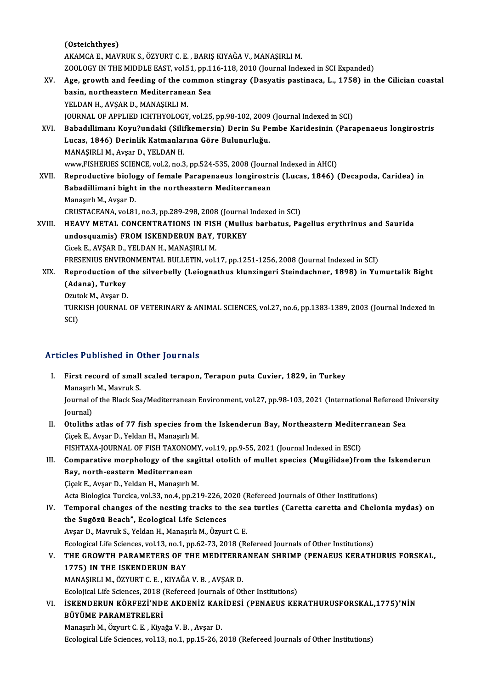(Osteichthyes) AKAMCA E., MAVRUK S., ÖZYURT C. E., BARIŞ KIYAĞA V., MANAŞIRLI M. ZOOLOGY IN THE MIDDLE EAST, vol.51, pp.116-118, 2010 (Journal Indexed in SCI Expanded) AKAMCA E., MAVRUK S., ÖZYURT C. E. , BARIŞ KIYAĞA V., MANAŞIRLI M.<br>ZOOLOGY IN THE MIDDLE EAST, vol.51, pp.116-118, 2010 (Journal Indexed in SCI Expanded)<br>XV. Age, growth and feeding of the common stingray (Dasyatis pas ZOOLOGY IN THE MIDDLE EAST, vol.51, pp.1:<br>Age, growth and feeding of the common<br>basin, northeastern Mediterranean Sea<br>VELDAN H. AVSAR D. MANASIRLLM Age, growth and feeding of the consisting northeastern Mediterranes<br>YELDAN H., AVŞAR D., MANAŞIRLI M.<br>JOUPNAL OF APPLIED JCHTHVOLOCY basin, northeastern Mediterranean Sea<br>YELDAN H., AVŞAR D., MANAŞIRLI M.<br>JOURNAL OF APPLIED ICHTHYOLOGY, vol.25, pp.98-102, 2009 (Journal Indexed in SCI)<br>Pahadıllimanı Koyu?undaki (Silifkamarsin) Darin Su Bamba Karidasinin YELDAN H., AVŞAR D., MANAŞIRLI M.<br>JOURNAL OF APPLIED ICHTHYOLOGY, vol.25, pp.98-102, 2009 (Journal Indexed in SCI)<br>XVI. Babadıllimanı Koyu?undaki (Silifkemersin) Derin Su Pembe Karidesinin (Parapenaeus longirostris<br>Lucas, JOURNAL OF APPLIED ICHTHYOLOGY, vol.25, pp.98-102, 2009<br>Babadıllimanı Koyu?undaki (Silifkemersin) Derin Su Pe<br>Lucas, 1846) Derinlik Katmanlarına Göre Bulunurluğu.<br>MANASIBLI M. Avçer D. YELDAN H MANAŞIRLI M., Avşar D., YELDAN H. Lucas, 1846) Derinlik Katmanlarına Göre Bulunurluğu.<br>MANAŞIRLI M., Avşar D., YELDAN H.<br>www,FISHERIES SCIENCE, vol.2, no.3, pp.524-535, 2008 (Journal Indexed in AHCI)<br>Bennedustive biology of female Benapeneaus lenginestris XVII. Reproductive biology of female Parapenaeus longirostris (Lucas, 1846) (Decapoda, Caridea) in<br>Babadillimani bight in the northeastern Mediterranean www,FISHERIES SCIENCE, vol.2, no.3, pp.524-535, 2008 (Journ<br>Reproductive biology of female Parapenaeus longirostr<br>Babadillimani bight in the northeastern Mediterranean<br>Manasuk M. Avson D Manaşırlı M., Avşar D. Babadillimani bight in the northeastern Mediterranean<br>Manaşırlı M., Avşar D.<br>CRUSTACEANA, vol.81, no.3, pp.289-298, 2008 (Journal Indexed in SCI)<br>HEAVY METAL CONCENTRATIONS IN EISH (Mullus barbatus, Ba Manaşırlı M., Avşar D.<br>CRUSTACEANA, vol.81, no.3, pp.289-298, 2008 (Journal Indexed in SCI)<br>XVIII. HEAVY METAL CONCENTRATIONS IN FISH (Mullus barbatus, Pagellus erythrinus and Saurida<br>wydosauamia) EROM ISKENDERIJN BAV, CRUSTACEANA, vol.81, no.3, pp.289-298, 2008 (Journal<br>HEAVY METAL CONCENTRATIONS IN FISH (Mullu<br>undosquamis) FROM ISKENDERUN BAY, TURKEY<br>Giscle E AVSAR D, YELDAN H, MANASIPLI M HEAVY METAL CONCENTRATIONS IN FISH<br>undosquamis) FROM ISKENDERUN BAY,<br>Cicek E., AVŞAR D., YELDAN H., MANAŞIRLI M.<br>ERESENIJIS ENVIRONMENTAL BIJI LETIN vol. undosquamis) FROM ISKENDERUN BAY, TURKEY<br>Cicek E., AVŞAR D., YELDAN H., MANAŞIRLI M.<br>FRESENIUS ENVIRONMENTAL BULLETIN, vol.17, pp.1251-1256, 2008 (Journal Indexed in SCI) Cicek E., AVŞAR D., YELDAN H., MANAŞIRLI M.<br>FRESENIUS ENVIRONMENTAL BULLETIN, vol.17, pp.1251-1256, 2008 (Journal Indexed in SCI)<br>XIX. Reproduction of the silverbelly (Leiognathus klunzingeri Steindachner, 1898) in Yum FRESENIUS ENVIRO<br>Reproduction of<br>(Adana), Turkey<br>Ozutek M. Avear D. Reproduction of t<br>(Adana), Turkey<br>Ozutok M., Avşar D.<br>TURKISH JOURNAL (Adana), Turkey<br>Ozutok M., Avşar D.<br>TURKISH JOURNAL OF VETERINARY & ANIMAL SCIENCES, vol.27, no.6, pp.1383-1389, 2003 (Journal Indexed in<br>SCD Ozut<br>TURI<br>SCI)

# Articles Published in Other Journals

- I. First record of small scaled terapon, Terapon puta Cuvier, 1829, in Turkey Managram of Shah<br>Manaşırlı M., Mavruk S.<br>Manaşırlı M., Mavruk S. Journal of the Black Sea/Mediterranean Environment, vol.27, pp.98-103, 2021 (International Refereed University<br>Journal) Manaşırl<br>Journal o<br>Journal)<br>Otelithe Journal of the Black Sea/Mediterranean Environment, vol.27, pp.98-103, 2021 (International Refereed U<br>Journal)<br>II. Otoliths atlas of 77 fish species from the Iskenderun Bay, Northeastern Mediterranean Sea<br>Cieck E. Avear D.
- Journal)<br>Otoliths atlas of 77 fish species from<br>Çiçek E., Avşar D., Yeldan H., Manaşırlı M.<br>EISHTAYA JOURNAL OF EISH TAYONOMY Otoliths atlas of 77 fish species from the Iskenderun Bay, Northeastern Mediter<br>Cicek E., Avşar D., Yeldan H., Manaşırlı M.<br>FISHTAXA-JOURNAL OF FISH TAXONOMY, vol.19, pp.9-55, 2021 (Journal Indexed in ESCI)<br>Componetive mon Ciçek E., Avşar D., Yeldan H., Manaşırlı M.<br>II. FISHTAXA-JOURNAL OF FISH TAXONOMY, vol.19, pp.9-55, 2021 (Journal Indexed in ESCI)<br>III. Comparative morphology of the sagittal otolith of mullet species (Mugilidae)from the I

## FISHTAXA-JOURNAL OF FISH TAXONOM<br>Comparative morphology of the sa<br>Bay, north-eastern Mediterranean<br>Cisek E. Ayser D. Yoldan H. Manasuli M Comparative morphology of the sagingly, north-eastern Mediterranean<br>Cicek E., Avşar D., Yeldan H., Manaşırlı M.<br>Asta Bialogica Turgica vol 33 no 4 nn 31 Bay, north-eastern Mediterranean<br>Çiçek E., Avşar D., Yeldan H., Manaşırlı M.<br>Acta Biologica Turcica, vol.33, no.4, pp.219-226, 2020 (Refereed Journals of Other Institutions)<br>Temneral shanges of the nesting tracks to the se

Giçek E., Avşar D., Yeldan H., Manaşırlı M.<br>Acta Biologica Turcica, vol.33, no.4, pp.219-226, 2020 (Refereed Journals of Other Institutions)<br>IV. Temporal changes of the nesting tracks to the sea turtles (Caretta caretta an Acta Biologica Turcica, vol.33, no.4, pp.219-226, 2<br>Temporal changes of the nesting tracks to t<br>the Sugözü Beach", Ecological Life Sciences<br>Avear D. Maynuk S. Valdan H. Manasuk M. Örgnu Temporal changes of the nesting tracks to the set<br>the Sugözü Beach", Ecological Life Sciences<br>Avşar D., Mavruk S., Yeldan H., Manaşırlı M., Özyurt C. E.<br>Ecological Life Sciences vol 12 no 1 np 62.72.2019 (B. the Sugözü Beach", Ecological Life Sciences<br>Avşar D., Mavruk S., Yeldan H., Manaşırlı M., Özyurt C. E.<br>Ecological Life Sciences, vol.13, no.1, pp.62-73, 2018 (Refereed Journals of Other Institutions)

## Avşar D., Mavruk S., Yeldan H., Manaşırlı M., Özyurt C. E.<br>Ecological Life Sciences, vol.13, no.1, pp.62-73, 2018 (Refereed Journals of Other Institutions)<br>V. THE GROWTH PARAMETERS OF THE MEDITERRANEAN SHRIMP (PENAEUS 1775) IN THE ISKENDERUN BAY<br>MANAŞIRLI M., ÖZYURT C. E., KIYAĞA V. B., AVŞAR D. THE GROWTH PARAMETERS OF THE MEDITERR.<br>1775) IN THE ISKENDERUN BAY<br>MANAŞIRLI M., ÖZYURT C. E. , KIYAĞA V. B. , AVŞAR D.<br>Feolojisel Life Ssianees 2018 (Befaneed Journals of Otl Ecolojical Life Sciences, 2018 (Refereed Journals of Other Institutions) MANAŞIRLI M., ÖZYURT C. E. , KIYAĞA V. B. , AVŞAR D.<br>Ecolojical Life Sciences, 2018 (Refereed Journals of Other Institutions)<br>VI. İSKENDERUN KÖRFEZİ'NDE AKDENİZ KARİDESİ (PENAEUS KERATHURUSFORSKAL,1775)'NİN<br>PÜVÜME RARA

Ecolojical Life Sciences, 2018<br>ISKENDERUN KÖRFEZİ'ND<br>BÜYÜME PARAMETRELERİ<br>Manaqulı M. Ömnut C. E., Kiva BÜYÜME PARAMETRELERİ<br>Manaşırlı M., Özyurt C. E. , Kiyağa V. B. , Avşar D.

Ecological Life Sciences, vol.13, no.1, pp.15-26, 2018 (Refereed Journals of Other Institutions)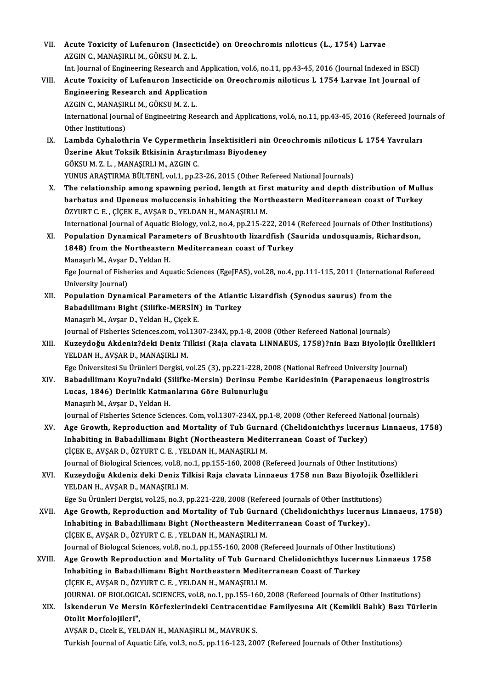VII. Acute Toxicity of Lufenuron (Insecticide) on Oreochromis niloticus (L., 1754) Larvae<br>AZCIN G MANASIPLLM CÖVSUM Z L Acute Toxicity of Lufenuron (Insect)<br>AZGIN C., MANAŞIRLI M., GÖKSU M. Z. L.<br>Int Journal of Engineering Bessensh and Acute Toxicity of Lufenuron (Insecticide) on Oreochromis niloticus (L., 1754) Larvae<br>AZGIN C., MANAŞIRLI M., GÖKSU M. Z. L.<br>Int. Journal of Engineering Research and Application, vol.6, no.11, pp.43-45, 2016 (Journal Indexe AZGIN C., MANAŞIRLI M., GÖKSU M. Z. L.<br>Int. Journal of Engineering Research and Application, vol.6, no.11, pp.43-45, 2016 (Journal Indexed in ESCI)<br>VIII. Acute Toxicity of Lufenuron Insecticide on Oreochromis niloticus L 1 Int. Journal of Engineering Research and Ap<br>Acute Toxicity of Lufenuron Insecticide<br>Engineering Research and Application<br>AZCIN G MANASIPLIM CÖVSUM Z L Acute Toxicity of Lufenuron Insecti<br>Engineering Research and Applicati<br>AZGIN C., MANAŞIRLI M., GÖKSU M. Z. L.<br>International Journal of Engineeiring Be Engineering Research and Application<br>AZGIN C., MANAŞIRLI M., GÖKSU M. Z. L.<br>International Journal of Engineeiring Research and Applications, vol.6, no.11, pp.43-45, 2016 (Refereed Journals of AZGIN C., MANAŞIR<br>International Journ<br>Other Institutions)<br>Lambda Cyhalath IX. Lambda Cyhalothrin Ve Cypermethrin İnsektisitleri nin Oreochromis niloticus L 1754 Yavruları Other Institutions)<br>Lambda Cyhalothrin Ve Cypermethrin İnsektisitleri nir<br>Üzerine Akut Toksik Etkisinin Araştırılması Biyodeney<br>CÖKSUM Z L. MANASIPLIM AZCIN C Lambda Cyhalothrin Ve Cypermethr<br>Üzerine Akut Toksik Etkisinin Araştı<br>GÖKSU M. Z. L. , MANAŞIRLI M., AZGIN C.<br>VINUS ARASTIRMA RÜLTENİ vel1 nn 2 GÖKSU M. Z. L. , MANAŞIRLI M., AZGIN C.<br>YUNUS ARAŞTIRMA BÜLTENİ, vol.1, pp.23-26, 2015 (Other Refereed National Journals) X. The relationship among spawning period, length at first maturity and depth distribution of Mullus YUNUS ARAŞTIRMA BÜLTENİ, vol.1, pp.23-26, 2015 (Other Refereed National Journals)<br>The relationship among spawning period, length at first maturity and depth distribution of Mull<br>barbatus and Upeneus moluccensis inhabiting The relationship among spawning period, length at firm<br>barbatus and Upeneus moluccensis inhabiting the Nor<br>ÖZYURT C.E., ÇİÇEK E., AVŞAR D., YELDAN H., MANAŞIRLI M.<br>International Journal of Aquatic Biology val 3 no 4 nn 315 barbatus and Upeneus moluccensis inhabiting the Northeastern Mediterranean coast of Turkey<br>ÖZYURT C. E. , ÇİÇEK E., AVŞAR D., YELDAN H., MANAŞIRLI M.<br>International Journal of Aquatic Biology, vol.2, no.4, pp.215-222, 2014 ÖZYURT C. E. , ÇİÇEK E., AVŞAR D., YELDAN H., MANAŞIRLI M.<br>International Journal of Aquatic Biology, vol.2, no.4, pp.215-222, 2014 (Refereed Journals of Other Institutio<br>XI. Population Dynamical Parameters of Brushtooth li International Journal of Aquatic Biology, vol.2, no.4, pp.215-222, 2014<br>Population Dynamical Parameters of Brushtooth lizardfish (S.<br>1848) from the Northeastern Mediterranean coast of Turkey<br>Managuk M. Ayaar D. Valdan H Population Dynamical Param<br>1848) from the Northeaster<br>Manaşırlı M., Avşar D., Yeldan H.<br>Fee Journal of Fisheries and Asu 1848) from the Northeastern Mediterranean coast of Turkey<br>Manaşırlı M., Avşar D., Yeldan H.<br>Ege Journal of Fisheries and Aquatic Sciences (EgeJFAS), vol.28, no.4, pp.111-115, 2011 (International Refereed<br>University Journal Manaşırlı M., Avşar<br>Ege Journal of Fishe<br>University Journal)<br>Population Dunar Ege Journal of Fisheries and Aquatic Sciences (EgeJFAS), vol.28, no.4, pp.111-115, 2011 (Internation<br>University Journal)<br>XII. Population Dynamical Parameters of the Atlantic Lizardfish (Synodus saurus) from the<br>Pahadillima University Journal)<br>Population Dynamical Parameters of the Atlanti<br>Babadıllimanı Bight (Silifke-MERSİN) in Turkey<br>Manasırlı M. Avsar D. Valdan H. Gisek E Population Dynamical Parameters of<br>Babadıllimanı Bight (Silifke-MERSİN<br>Manaşırlı M., Avşar D., Yeldan H., Çiçek E.<br>Journal of Eisharies Ssianses som vel 124 Babadıllimanı Bight (Silifke-MERSİN) in Turkey<br>Manaşırlı M., Avşar D., Yeldan H., Çiçek E.<br>Journal of Fisheries Sciences.com, vol.1307-234X, pp.1-8, 2008 (Other Refereed National Journals)<br>Kurovdoğu, Akdoniz3deki Doniz Til Manaşırlı M., Avşar D., Yeldan H., Çiçek E.<br>Journal of Fisheries Sciences.com, vol.1307-234X, pp.1-8, 2008 (Other Refereed National Journals)<br>XIII. Kuzeydoğu Akdeniz?deki Deniz Tilkisi (Raja clavata LINNAEUS, 1758)?nin Journal of Fisheries Sciences.com, vol.<br><mark>Kuzeydoğu Akdeniz?deki Deniz T</mark>i<br>YELDAN H., AVŞAR D., MANAŞIRLI M.<br>Fee Üniversitesi Su Ününleri Dergisi y Kuzeydoğu Akdeniz?deki Deniz Tilkisi (Raja clavata LINNAEUS, 1758)?nin Bazı Biyolojik Özellikleri<br>YELDAN H., AVŞAR D., MANAŞIRLI M.<br>Ege Üniversitesi Su Ürünleri Dergisi, vol.25 (3), pp.221-228, 2008 (National Refreed Unive YELDAN H., AVŞAR D., MANAŞIRLI M.<br>Ege Üniversitesi Su Ürünleri Dergisi, vol.25 (3), pp.221-228, 2008 (National Refreed University Journal)<br>XIV. Babadıllimanı Koyu?ndaki (Silifke-Mersin) Derinsu Pembe Karidesinin (Parapenae Ege Üniversitesi Su Ürünleri Dergisi, vol.25 (3), pp.221-228, 2(<br>Babadıllimanı Koyu?ndaki (Silifke-Mersin) Derinsu Pen<br>Lucas, 1846) Derinlik Katmanlarına Göre Bulunurluğu<br>Manayılı M. Avsar D. Yeldar H Babadıllimanı Koyu?ndaki (S<br>Lucas, 1846) Derinlik Katma<br>Manaşırlı M., Avşar D., Yeldan H.<br>Journal of Eisbories Scionse Scio Lucas, 1846) Derinlik Katmanlarına Göre Bulunurluğu<br>Manaşırlı M., Avşar D., Yeldan H.<br>Journal of Fisheries Science Sciences. Com, vol.1307-234X, pp.1-8, 2008 (Other Refereed National Journals) XV. Age Growth, Reproduction and Mortality of Tub Gurnard (Chelidonichthys lucernus Linnaeus, 1758) Journal of Fisheries Science Sciences. Com, vol.1307-234X, pp.1-8, 2008 (Other Refereed Nat<br>Age Growth, Reproduction and Mortality of Tub Gurnard (Chelidonichthys lucern<br>Inhabiting in Babadıllimanı Bight (Northeastern Medi Age Growth, Reproduction and Mortality of Tub Gurna<br>Inhabiting in Babadıllimanı Bight (Northeastern Medit<br>ÇİÇEK E., AVŞAR D., ÖZYURT C. E. , YELDAN H., MANAŞIRLI M.<br>Journal of Bialagigal Sciences vol 8, no.1, nn.155,160,20 Inhabiting in Babadıllimanı Bight (Northeastern Mediterranean Coast of Turkey)<br>ÇİÇEK E., AVŞAR D., ÖZYURT C. E. , YELDAN H., MANAŞIRLI M.<br>Journal of Biological Sciences, vol.8, no.1, pp.155-160, 2008 (Refereed Journals of CICEK E., AVŞAR D., ÖZYURT C. E. , YELDAN H., MANAŞIRLI M.<br>Journal of Biological Sciences, vol.8, no.1, pp.155-160, 2008 (Refereed Journals of Other Institutions)<br>XVI. Kuzeydoğu Akdeniz deki Deniz Tilkisi Raja clavata Journal of Biological Sciences, vol.8, no.1, pp.155-160, 2008 (Refereed Journals of Other Institutions)<br>Kuzeydoğu Akdeniz deki Deniz Tilkisi Raja clavata Linnaeus 1758 nın Bazı Biyolojik Özell<br>YELDAN H., AVŞAR D., MANAŞIRL Kuzeydoğu Akdeniz deki Deniz Tilkisi Raja clavata Linnaeus 1758 nın Bazı Biyolojik Ö<br>YELDAN H., AVŞAR D., MANAŞIRLI M.<br>Ege Su Ürünleri Dergisi, vol.25, no.3, pp.221-228, 2008 (Refereed Journals of Other Institutions)<br>Age C XVII. Age Growth, Reproduction and Mortality of Tub Gurnard (Chelidonichthys lucernus Linnaeus, 1758)<br>Inhabiting in Babadıllimanı Bight (Northeastern Mediterranean Coast of Turkey). Ege Su Ürünleri Dergisi, vol.25, no.3, pp.221-228, 2008 (Refereed Journals of Other Institutions). ÇİÇEK E., AVŞAR D., ÖZYURT C. E., YELDAN H., MANAŞIRLI M. Inhabiting in Babadıllimanı Bight (Northeastern Mediterranean Coast of Turkey).<br>ÇİÇEK E., AVŞAR D., ÖZYURT C. E. , YELDAN H., MANAŞIRLI M.<br>Journal of Biologcal Sciences, vol.8, no.1, pp.155-160, 2008 (Refereed Journals of CİÇEK E., AVŞAR D., ÖZYURT C. E. , YELDAN H., MANAŞIRLI M.<br>Journal of Biologcal Sciences, vol.8, no.1, pp.155-160, 2008 (Refereed Journals of Other Institutions)<br>XVIII. Age Growth Reproduction and Mortality of Tub Gurn Journal of Biologcal Sciences, vol.8, no.1, pp.155-160, 2008 (Refereed Journals of Other In:<br>Age Growth Reproduction and Mortality of Tub Gurnard Chelidonichthys lucerr<br>Inhabiting in Babadıllimanı Bight Northeastern Medite Age Growth Reproduction and Mortality of Tub Gurna:<br>Inhabiting in Babadıllimanı Bight Northeastern Medite<br>ÇİÇEK E., AVŞAR D., ÖZYURT C. E. , YELDAN H., MANAŞIRLI M.<br>JOUPMAL OF PIOLOCICAL SCIENCES .vol.9, no.1, nn.155,160 Inhabiting in Babadıllimanı Bight Northeastern Mediterranean Coast of Turkey<br>ÇİÇEK E., AVŞAR D., ÖZYURT C. E. , YELDAN H., MANAŞIRLI M.<br>JOURNAL OF BIOLOGICAL SCIENCES, vol.8, no.1, pp.155-160, 2008 (Refereed Journals of Ot CİÇEK E., AVŞAR D., ÖZYURT C. E. , YELDAN H., MANAŞIRLI M.<br>JOURNAL OF BIOLOGICAL SCIENCES, vol.8, no.1, pp.155-160, 2008 (Refereed Journals of Other Institutions)<br>XIX. İskenderun Ve Mersin Körfezlerindeki Centracentida **JOURNAL OF BIOLOGIC<br>İskenderun Ve Mers<br>Otolit Morfolojileri",<br>AVSAR D. Gisek E. YEL** İskenderun Ve Mersin Körfezlerindeki Centracentid<br>Otolit Morfolojileri",<br>AVŞAR D., Cicek E., YELDAN H., MANAŞIRLI M., MAVRUK S.<br>Turkish Journal of Aquatis Life, vol 3, no 5, nn 116,122, 200 Otolit Morfolojileri",<br>AVŞAR D., Cicek E., YELDAN H., MANAŞIRLI M., MAVRUK S.<br>Turkish Journal of Aquatic Life, vol.3, no.5, pp.116-123, 2007 (Refereed Journals of Other Institutions)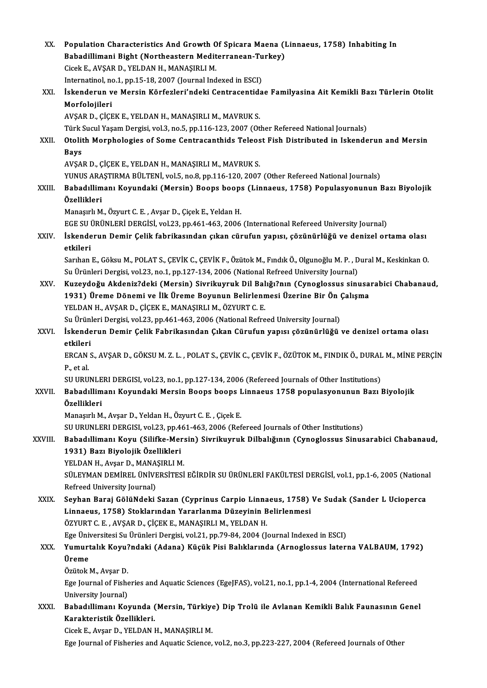| XX.          | Population Characteristics And Growth Of Spicara Maena (Linnaeus, 1758) Inhabiting In                                              |
|--------------|------------------------------------------------------------------------------------------------------------------------------------|
|              | Babadillimani Bight (Northeastern Mediterranean-Turkey)                                                                            |
|              | Cicek E., AVŞAR D., YELDAN H., MANAŞIRLI M.                                                                                        |
|              | Internatinol, no.1, pp.15-18, 2007 (Journal Indexed in ESCI)                                                                       |
| XXI.         | İskenderun ve Mersin Körfezleri'ndeki Centracentidae Familyasina Ait Kemikli Bazı Türlerin Otolit                                  |
|              | Morfolojileri                                                                                                                      |
|              | AVŞAR D., ÇİÇEK E., YELDAN H., MANAŞIRLI M., MAVRUK S.                                                                             |
|              | Türk Sucul Yaşam Dergisi, vol.3, no.5, pp.116-123, 2007 (Other Refereed National Journals)                                         |
| XXII.        | Otolith Morphologies of Some Centracanthids Teleost Fish Distributed in Iskenderun and Mersin                                      |
|              | <b>Bays</b>                                                                                                                        |
|              | AVŞAR D., ÇİÇEK E., YELDAN H., MANAŞIRLI M., MAVRUK S.                                                                             |
|              | YUNUS ARAŞTIRMA BÜLTENİ, vol.5, no.8, pp.116-120, 2007 (Other Refereed National Journals)                                          |
| XXIII.       | Babadıllimanı Koyundaki (Mersin) Boops boops (Linnaeus, 1758) Populasyonunun Bazı Biyolojik<br>Özellikleri                         |
|              | Manaşırlı M., Özyurt C. E., Avşar D., Çiçek E., Yeldan H.                                                                          |
|              | EGE SU ÜRÜNLERİ DERGİSİ, vol.23, pp.461-463, 2006 (International Refereed University Journal)                                      |
| XXIV.        | İskenderun Demir Çelik fabrikasından çıkan cürufun yapısı, çözünürlüğü ve denizel ortama olası<br>etkileri                         |
|              | Sarıhan E., Göksu M., POLAT S., ÇEVİK C., ÇEVİK F., Özütok M., Fındık Ö., Olgunoğlu M. P., Dural M., Keskinkan O.                  |
|              | Su Ürünleri Dergisi, vol.23, no.1, pp.127-134, 2006 (National Refreed University Journal)                                          |
| XXV.         | Kuzeydoğu Akdeniz?deki (Mersin) Sivrikuyruk Dil Balığı?nın (Cynoglossus sinusarabici Chabanaud,                                    |
|              | 1931) Üreme Dönemi ve İlk Üreme Boyunun Belirlenmesi Üzerine Bir Ön Çalışma                                                        |
|              | YELDAN H., AVŞAR D., ÇİÇEK E., MANAŞIRLI M., ÖZYURT C. E.                                                                          |
|              | Su Ürünleri Dergisi, vol.23, pp.461-463, 2006 (National Refreed University Journal)                                                |
| <b>XXVI</b>  | İskenderun Demir Çelik Fabrikasından Çıkan Cürufun yapısı çözünürlüğü ve denizel ortama olası                                      |
|              | etkileri                                                                                                                           |
|              | ERCAN S., AVŞAR D., GÖKSU M. Z. L., POLAT S., ÇEVİK C., ÇEVİK F., ÖZÜTOK M., FINDIK Ö., DURAL M., MİNE PERÇİN                      |
|              | P, et al.<br>SU URUNLERI DERGISI, vol.23, no.1, pp.127-134, 2006 (Refereed Journals of Other Institutions)                         |
| <b>XXVII</b> | Babadıllimanı Koyundaki Mersin Boops boops Linnaeus 1758 populasyonunun Bazı Biyolojik                                             |
|              | Özellikleri                                                                                                                        |
|              | Manaşırlı M., Avşar D., Yeldan H., Özyurt C. E., Çiçek E.                                                                          |
|              | SU URUNLERI DERGISI, vol.23, pp.461-463, 2006 (Refereed Journals of Other Institutions)                                            |
| XXVIII.      | Babadıllimanı Koyu (Silifke-Mersin) Sivrikuyruk Dilbalığının (Cynoglossus Sinusarabici Chabanaud,                                  |
|              | 1931) Bazı Biyolojik Özellikleri                                                                                                   |
|              | YELDAN H., Avşar D., MANAŞIRLI M.                                                                                                  |
|              | SÜLEYMAN DEMİREL ÜNİVERSİTESİ EĞİRDİR SU ÜRÜNLERİ FAKÜLTESİ DERGİSİ, vol.1, pp.1-6, 2005 (National                                 |
|              | Refreed University Journal)                                                                                                        |
| XXIX.        | Seyhan Baraj GölüNdeki Sazan (Cyprinus Carpio Linnaeus, 1758) Ve Sudak (Sander L Ucioperca                                         |
|              | Linnaeus, 1758) Stoklarından Yararlanma Düzeyinin Belirlenmesi                                                                     |
|              | ÖZYURT C. E., AVŞAR D., ÇİÇEK E., MANAŞIRLI M., YELDAN H.                                                                          |
|              | Ege Üniversitesi Su Ürünleri Dergisi, vol.21, pp.79-84, 2004 (Journal Indexed in ESCI)                                             |
| XXX.         | Yumurtalık Koyu?ndaki (Adana) Küçük Pisi Balıklarında (Arnoglossus laterna VALBAUM, 1792)                                          |
|              | Üreme                                                                                                                              |
|              | Özütok M., Avşar D.                                                                                                                |
|              | Ege Journal of Fisheries and Aquatic Sciences (EgeJFAS), vol.21, no.1, pp.1-4, 2004 (International Refereed<br>University Journal) |
| XXXI.        | Babadıllimanı Koyunda (Mersin, Türkiye) Dip Trolü ile Avlanan Kemikli Balık Faunasının Genel                                       |
|              | Karakteristik Özellikleri.                                                                                                         |
|              | Cicek E., Avşar D., YELDAN H., MANAŞIRLI M.                                                                                        |
|              | Ege Journal of Fisheries and Aquatic Science, vol.2, no.3, pp.223-227, 2004 (Refereed Journals of Other                            |
|              |                                                                                                                                    |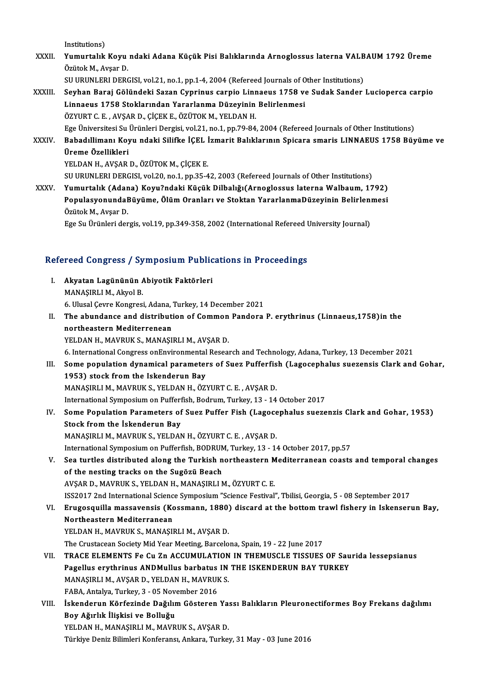Institutions)

- Institutions)<br>XXXII. Yumurtalık Koyu ndaki Adana Küçük Pisi Balıklarında Arnoglossus laterna VALBAUM 1792 Üreme<br>Önütek M. Avear D Institutions)<br>Yumurtalık Koyu<br>Özütok M., Avşar D.<br>SU URUNI ERL DERG Yumurtalık Koyu ndaki Adana Küçük Pisi Balıklarında Arnoglossus laterna VALB<br>Özütok M., Avşar D.<br>SU URUNLERI DERGISI, vol.21, no.1, pp.1-4, 2004 (Refereed Journals of Other Institutions)<br>Seyban Banai Gölündeki Sagan Gunnin SU URUNLERI DERGISI, vol.21, no.1, pp.1-4, 2004 (Refereed Journals of Other Institutions)
- Özütok M., Avşar D.<br>SU URUNLERI DERGISI, vol.21, no.1, pp.1-4, 2004 (Refereed Journals of Other Institutions)<br>XXXIII. Seyhan Baraj Gölündeki Sazan Cyprinus carpio Linnaeus 1758 ve Sudak Sander Lucioperca carpio<br>Linnaeus 17 ÖZYURT C.E., AVŞAR D., ÇİÇEK E., ÖZÜTOK M., YELDAN H. Ege Üniversitesi Su Ürünleri Dergisi, vol.21, no.1, pp.79-84, 2004 (Refereed Journals of Other Institutions) ÖZYURT C. E. , AVŞAR D., ÇİÇEK E., ÖZÜTOK M., YELDAN H.<br>Ege Üniversitesi Su Ürünleri Dergisi, vol.21, no.1, pp.79-84, 2004 (Refereed Journals of Other Institutions)<br>XXXIV. Babadıllimanı Koyu ndaki Silifke İÇEL İzmarit
- Ege Üniversitesi Su<br><mark>Babadıllimanı Koy</mark><br>Üreme Özellikleri<br><sup>VELDAN H. AVSAP</sup> Babadıllimanı Koyu ndaki Silifke İÇEL İ<br>Üreme Özellikleri<br>YELDAN H., AVŞAR D., ÖZÜTOK M., ÇİÇEK E.<br>SU URUNI ERLDERGISI, val 20. no.1. np.25.4 Üreme Özellikleri<br>YELDAN H., AVŞAR D., ÖZÜTOK M., ÇİÇEK E.<br>SU URUNLERI DERGISI, vol.20, no.1, pp.35-42, 2003 (Refereed Journals of Other Institutions)
- XXXV. Yumurtalık (Adana) Koyu?ndaki Küçük Dilbalığı(Arnoglossus laternaWalbaum, 1792) SU URUNLERI DERGISI, vol.20, no.1, pp.35-42, 2003 (Refereed Journals of Other Institutions)<br>Yumurtalık (Adana) Koyu?ndaki Küçük Dilbalığı(Arnoglossus laterna Walbaum, 1792)<br>PopulasyonundaBüyüme, Ölüm Oranları ve Stoktan Ya Yumurtalık (Adan<br>Populasyonundal<br>Özütok M., Avşar D.<br>Fee Su Ürünleri den PopulasyonundaBüyüme, Ölüm Oranları ve Stoktan YararlanmaDüzeyinin Belirlen:<br>Özütok M., Avşar D.<br>Ege Su Ürünleri dergis, vol.19, pp.349-358, 2002 (International Refereed University Journal)

# ege su orunieri dergis, vol.19, pp.349-358, 2002 (international Refereed to Refereed to Refereed Congress / Symposium Publications in Proceedings

- efereed Congress / Symposium Public<br>I. Akyatan Lagününün Abiyotik Faktörleri<br>MANASIPLI Malguel P I. Akyatan Lagününün Abiyotik Faktörleri<br>MANAŞIRLI M., Akyol B. 6.UlusalÇevreKongresi,Adana,Turkey,14December 2021
- MANAŞIRLI M., Akyol B.<br>6. Ulusal Çevre Kongresi, Adana, Turkey, 14 December 2021<br>II. The abundance and distribution of Common Pandora P. erythrinus (Linnaeus,1758)in the<br>northeastern Mediterranean 6. Ulusal Çevre Kongresi, Adana,<br>The abundance and distributi<br>northeastern Mediterrenean<br>YELDAN H. MAVPUK S. MANASI The abundance and distribution of Common<br>northeastern Mediterrenean<br>YELDAN H., MAVRUK S., MANAŞIRLI M., AVŞAR D.<br>6. International Congress onEnvironmental Beseel northeastern Mediterrenean<br>YELDAN H., MAVRUK S., MANAŞIRLI M., AVŞAR D.<br>6. International Congress onEnvironmental Research and Technology, Adana, Turkey, 13 December 2021<br>Seme nepulation dynamical paramators of Suer Buffor

- I I. Some population dynamical parameters of Suez Pufferfish (Lagocephalus suezensis Clark and Gohar, 1953) stock from the Iskenderun Bay 6. International Congress onEnvironmental<br>Some population dynamical parameter<br>1953) stock from the Iskenderun Bay<br>MANASIPLLM MAVPLIK S, VELDAN H, ÖZ MANAŞIRLIM.,MAVRUKS.,YELDANH.,ÖZYURTC.E. ,AVŞARD. 1953) stock from the Iskenderun Bay<br>MANAŞIRLI M., MAVRUK S., YELDAN H., ÖZYURT C. E. , AVŞAR D.<br>International Symposium on Pufferfish, Bodrum, Turkey, 13 - 14 October 2017<br>Sama Bapulation Baramatara of Suer Buffer Eish (La MANAŞIRLI M., MAVRUK S., YELDAN H., ÖZYURT C. E. , AVŞAR D.<br>International Symposium on Pufferfish, Bodrum, Turkey, 13 - 14 October 2017<br>IV. Some Population Parameters of Suez Puffer Fish (Lagocephalus suezenzis Clark and G
- International Symposium on Pufferf<br>Some Population Parameters of<br>Stock from the İskenderun Bay<br>MANASIPLI M. MAVPUK S. VELDAN Some Population Parameters of Suez Puffer Fish (Lagoce<br>Stock from the İskenderun Bay<br>MANAŞIRLI M., MAVRUK S., YELDAN H., ÖZYURT C. E. , AVŞAR D.<br>International Sumnesium en Bufforfish BODBUM Turkey 13, 14 Stock from the İskenderun Bay<br>MANAŞIRLI M., MAVRUK S., YELDAN H., ÖZYURT C. E. , AVŞAR D.<br>International Symposium on Pufferfish, BODRUM, Turkey, 13 - 14 October 2017, pp.57<br>See turtles distributed alang the Turkish northea MANAŞIRLI M., MAVRUK S., YELDAN H., ÖZYURT C. E. , AVŞAR D.<br>International Symposium on Pufferfish, BODRUM, Turkey, 13 - 14 October 2017, pp.57<br>V. Sea turtles distributed along the Turkish northeastern Mediterranean coasts
- International Symposium on Pufferfish, BODRUN<br>Sea turtles distributed along the Turkish n<br>of the nesting tracks on the Sugözü Beach<br>AVSAR D. MAVRUK S. VELDAN H. MANASIRUA Sea turtles distributed along the Turkish northeastern M<br>of the nesting tracks on the Sugözü Beach<br>AVŞAR D., MAVRUK S., YELDAN H., MANAŞIRLI M., ÖZYURT C. E.<br>ISS2017 2nd International Science Sumpesium "Science Festival" of the nesting tracks on the Sugözü Beach<br>AVŞAR D., MAVRUK S., YELDAN H., MANAŞIRLI M., ÖZYURT C. E.<br>ISS2017 2nd International Science Symposium "Science Festival", Tbilisi, Georgia, 5 - 08 September 2017<br>Erugosavilla mass
- AVŞAR D., MAVRUK S., YELDAN H., MANAŞIRLI M., ÖZYURT C. E.<br>ISS2017 2nd International Science Symposium "Science Festival", Tbilisi, Georgia, 5 08 September 2017<br>VI. Erugosquilla massavensis (Kossmann, 1880) discard a ISS2017 2nd International Scienc<br>Erugosquilla massavensis (Ko<br>Northeastern Mediterranean<br>YELDAN H. MAVPUK S. MANASU Erugosquilla massavensis (Kossmann, 1880)<br>Northeastern Mediterranean<br>YELDAN H., MAVRUK S., MANAŞIRLI M., AVŞAR D.<br>The Crustassen Sosisty Mid Year Mesting, Barselo Northeastern Mediterranean<br>YELDAN H., MAVRUK S., MANAŞIRLI M., AVŞAR D.<br>The Crustacean Society Mid Year Meeting, Barcelona, Spain, 19 - 22 June 2017<br>TRACE ELEMENTS EQ Gu Zn ACCUMUL ATION IN THEMISCLE TISSUES. YELDAN H., MAVRUK S., MANAŞIRLI M., AVŞAR D.<br>The Crustacean Society Mid Year Meeting, Barcelona, Spain, 19 - 22 June 2017<br>VII. TRACE ELEMENTS Fe Cu Zn ACCUMULATION IN THEMUSCLE TISSUES OF Saurida lessepsianus The Crustacean Society Mid Year Meeting, Barcelona, Spain, 19 - 22 June 2017<br>TRACE ELEMENTS Fe Cu Zn ACCUMULATION IN THEMUSCLE TISSUES OF Sau<br>Pagellus erythrinus ANDMullus barbatus IN THE ISKENDERUN BAY TURKEY<br>MANASIPLLM,
- TRACE ELEMENTS Fe Cu Zn ACCUMULATION<br>Pagellus erythrinus ANDMullus barbatus IN<br>MANAŞIRLI M., AVŞAR D., YELDAN H., MAVRUK S. Pagellus erythrinus ANDMullus barbatus<br>MANAŞIRLI M., AVŞAR D., YELDAN H., MAVRUF<br>FABA, Antalya, Turkey, 3 - 05 November 2016<br>İskandanun Körfarinda Dažılım Cöstaran MANAŞIRLI M., AVŞAR D., YELDAN H., MAVRUK S.<br>FABA, Antalya, Turkey, 3 - 05 November 2016<br>VIII. İskenderun Körfezinde Dağılım Gösteren Yassı Balıkların Pleuronectiformes Boy Frekans dağılımı<br>Pev Ağırlık İliakisi ve Belluğu
- FABA, Antalya, Turkey, 3 05 November 2016<br>İskenderun Körfezinde Dağılım Gösteren Ya:<br>Boy Ağırlık İlişkisi ve Bolluğu<br>YELDAN H., MANAŞIRLI M., MAVRUK S., AVŞAR D. İskenderun Körfezinde Dağılım Gösteren Ya:<br>Boy Ağırlık İlişkisi ve Bolluğu<br>YELDAN H., MANAŞIRLI M., MAVRUK S., AVŞAR D.<br>Türkiye Deniz Bilimleri Kenferensı, Ankara Turkaı

Türkiye Deniz Bilimleri Konferansı, Ankara, Turkey, 31 May - 03 June 2016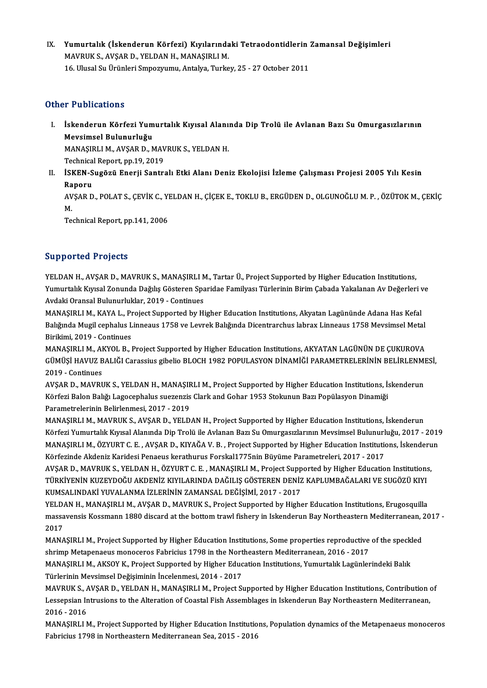IX. Yumurtalık (İskenderun Körfezi) Kıyılarındaki Tetraodontidlerin Zamansal Değişimleri Yumurtalık (İskenderun Körfezi) Kıyılarında<br>MAVRUK S., AVŞAR D., YELDAN H., MANAŞIRLI M.<br>16 Hlucel S., Ürünleri Sunogrumu, Antelya Turka Yumurtalık (İskenderun Körfezi) Kıyılarındaki Tetraodontidlerin :<br>MAVRUK S., AVŞAR D., YELDAN H., MANAŞIRLI M.<br>16. Ulusal Su Ürünleri Smpozyumu, Antalya, Turkey, 25 - 27 October 2011 16. Ulusal Su Ürünleri Smpozyumu, Antalya, Turkey, 25 - 27 October 2011<br>Other Publications

ther Publications<br>I. İskenderun Körfezi Yumurtalık Kıyısal Alanında Dip Trolü ile Avlanan Bazı Su Omurgasızlarının<br>Mayaimsal Bulunurluğu r r assicutions<br>İskenderun Körfezi Yum<br>Mevsimsel Bulunurluğu<br>MANASIPLI M. AVSAR D. A İskenderun Körfezi Yumurtalık Kıyısal Alanı:<br>Mevsimsel Bulunurluğu<br>MANAŞIRLI M., AVŞAR D., MAVRUK S., YELDAN H.<br>Technisel Benert nn 19, 2019 Mevsimsel Bulunurluğu<br>MANAŞIRLI M., AVŞAR D., MAVRUK S., YELDAN H.<br>Technical Report, pp.19, 2019

MANAŞIRLI M., AVŞAR D., MAVRUK S., YELDAN H.<br>Technical Report, pp.19, 2019<br>II. İSKEN-Sugözü Enerji Santralı Etki Alanı Deniz Ekolojisi İzleme Çalışması Projesi 2005 Yılı Kesin<br>Ranamı Technica<br><mark>İSKEN-S</mark><br>Raporu<br>AVSAR D İSKEN-Sugözü Enerji Santralı Etki Alanı Deniz Ekolojisi İzleme Çalışması Projesi 2005 Yılı Kesin<br>Raporu<br>AVŞAR D., POLAT S., ÇEVİK C., YELDAN H., ÇİÇEK E., TOKLU B., ERGÜDEN D., OLGUNOĞLU M. P. , ÖZÜTOK M., ÇEKİÇ<br>M

Ra<br>AV<br>Te AVŞAR D., POLAT S., ÇEVİK C., YI<br>M.<br>Technical Report, pp.141, 2006

Technical Report, pp.141, 2006<br>Supported Projects

Supported Projects<br>YELDAN H., AVŞAR D., MAVRUK S., MANAŞIRLI M., Tartar Ü., Project Supported by Higher Education Institutions,<br>Yumurtalık Kunsal Zanunda Dağılıs Gösteren Sparidae Familyası Türlerinin Birim Gabada Yakalana YELDAN H., AVŞAR D., MAVRUK S., MANAŞIRLI M., Tartar Ü., Project Supported by Higher Education Institutions,<br>Yumurtalık Kıyısal Zonunda Dağılış Gösteren Sparidae Familyası Türlerinin Birim Çabada Yakalanan Av Değerleri ve<br> YELDAN H., AVŞAR D., MAVRUK S., MANAŞIRLI M<br>Yumurtalık Kıyısal Zonunda Dağılış Gösteren Spa<br>Avdaki Oransal Bulunurluklar, 2019 - Continues<br>MANASIBLI M. KAVA L. Prejest Supperted by Hi Yumurtalık Kıyısal Zonunda Dağılış Gösteren Sparidae Familyası Türlerinin Birim Çabada Yakalanan Av Değerleri v<br>Avdaki Oransal Bulunurluklar, 2019 - Continues<br>MANAŞIRLI M., KAYA L., Project Supported by Higher Education In

Avdaki Oransal Bulunurluklar, 2019 - Continues<br>MANAŞIRLI M., KAYA L., Project Supported by Higher Education Institutions, Akyatan Lagününde Adana Has Kefal<br>Balığında Mugil cephalus Linneaus 1758 ve Levrek Balığında Dicentr MANAŞIRLI M., KAYA L., Project Supported by Higher Education Institutions, Akyatan Lagününde Adana Has Kefal Balığında Mugil cephalus Linneaus 1758 ve Levrek Balığında Dicentrarchus labrax Linneaus 1758 Mevsimsel Metal<br>Birikimi, 2019 - Continues<br>MANAŞIRLI M., AKYOL B., Project Supported by Higher Education Institutions, AKYATAN L

Birikimi, 2019 - Continues<br>MANAŞIRLI M., AKYOL B., Project Supported by Higher Education Institutions, AKYATAN LAGÜNÜN DE ÇUKUROVA<br>GÜMÜŞİ HAVUZ BALIĞI Carassius gibelio BLOCH 1982 POPULASYON DİNAMİĞİ PARAMETRELERİNİN BELİR MANAŞIRLI M., AI<br>GÜMÜŞİ HAVUZ B<br>2019 - Continues<br>AVSAR D. MAVRI GÜMÜŞİ HAVUZ BALIĞI Carassius gibelio BLOCH 1982 POPULASYON DİNAMİĞİ PARAMETRELERİNİN BELİRLENMI<br>2019 - Continues<br>AVŞAR D., MAVRUK S., YELDAN H., MANAŞIRLI M., Project Supported by Higher Education Institutions, İskenderun

2019 - Continues<br>AVŞAR D., MAVRUK S., YELDAN H., MANAŞIRLI M., Project Supported by Higher Education Institutions, İs<br>Körfezi Balon Balığı Lagocephalus suezenzis Clark and Gohar 1953 Stokunun Bazı Popülasyon Dinamiği<br>Param AVŞAR D., MAVRUK S., YELDAN H., MANAŞIF<br>Körfezi Balon Balığı Lagocephalus suezenzis<br>Parametrelerinin Belirlenmesi, 2017 - 2019<br>MANASIBLLM, MAVBUK S. AVSAR D. YELD Körfezi Balon Balığı Lagocephalus suezenzis Clark and Gohar 1953 Stokunun Bazı Popülasyon Dinamiği<br>Parametrelerinin Belirlenmesi, 2017 - 2019<br>MANAŞIRLI M., MAVRUK S., AVŞAR D., YELDAN H., Project Supported by Higher Educat

Parametrelerinin Belirlenmesi, 2017 - 2019<br>MANAŞIRLI M., MAVRUK S., AVŞAR D., YELDAN H., Project Supported by Higher Education Institutions, İskenderun<br>Körfezi Yumurtalık Kıyısal Alanında Dip Trolü ile Avlanan Bazı Su Omur MANAŞIRLI M., MAVRUK S., AVŞAR D., YELDAN H., Project Supported by Higher Education Institutions, İskenderun<br>Körfezi Yumurtalık Kıyısal Alanında Dip Trolü ile Avlanan Bazı Su Omurgasızlarının Mevsimsel Bulunurluğu, 2017<br>MA Körfezi Yumurtalık Kıyısal Alanında Dip Trolü ile Avlanan Bazı Su Omurgasızlarının Mevsimsel Bulunurl<br>MANAŞIRLI M., ÖZYURT C. E. , AVŞAR D., KIYAĞA V. B. , Project Supported by Higher Education Institution<br>Körfezinde Akden MANAŞIRLI M., ÖZYURT C. E. , AVŞAR D., KIYAĞA V. B. , Project Supported by Higher Education Institutions, İskenderu<br>Körfezinde Akdeniz Karidesi Penaeus kerathurus Forskal1775nin Büyüme Parametreleri, 2017 - 2017<br>AVŞAR D.,

Körfezinde Akdeniz Karidesi Penaeus kerathurus Forskal1775nin Büyüme Parametreleri, 2017 - 2017<br>AVŞAR D., MAVRUK S., YELDAN H., ÖZYURT C. E. , MANAŞIRLI M., Project Supported by Higher Education Institutions<br>TÜRKİYENİN KUZ AVŞAR D., MAVRUK S., YELDAN H., ÖZYURT C. E. , MANAŞIRLI M., Project Supp<br>TÜRKİYENİN KUZEYDOĞU AKDENİZ KIYILARINDA DAĞILIŞ GÖSTEREN DENİZ<br>KUMSALINDAKİ YUVALANMA İZLERİNİN ZAMANSAL DEĞİŞİMİ, 2017 - 2017<br>YELDAN H. MANASIBLI TÜRKİYENİN KUZEYDOĞU AKDENİZ KIYILARINDA DAĞILIŞ GÖSTEREN DENİZ KAPLUMBAĞALARI VE SUGÖZÜ KIYI<br>KUMSALINDAKİ YUVALANMA İZLERİNİN ZAMANSAL DEĞİŞİMİ, 2017 - 2017<br>YELDAN H., MANAŞIRLI M., AVŞAR D., MAVRUK S., Project Supported

KUMSALINDAKİ YUVALANMA İZLERİNİN ZAMANSAL DEĞİŞİMİ, 2017 - 2017<br>YELDAN H., MANAŞIRLI M., AVŞAR D., MAVRUK S., Project Supported by Higher Education Institutions, Erugosquilla<br>massavensis Kossmann 1880 discard at the bottom YELD<br>massa<br>2017<br>MANA massavensis Kossmann 1880 discard at the bottom trawl fishery in Iskenderun Bay Northeastern Mediterranean, 2<br>2017<br>MANAŞIRLI M., Project Supported by Higher Education Institutions, Some properties reproductive of the speck

2017<br>MANAŞIRLI M., Project Supported by Higher Education Institutions, Some properties reproductive<br>shrimp Metapenaeus monoceros Fabricius 1798 in the Northeastern Mediterranean, 2016 - 2017<br>MANASIRLI M. AKSOV K. Project S MANAŞIRLI M., Project Supported by Higher Education Institutions, Some properties reproductive of the speckl<br>shrimp Metapenaeus monoceros Fabricius 1798 in the Northeastern Mediterranean, 2016 - 2017<br>MANAŞIRLI M., AKSOY K.

shrimp Metapenaeus monoceros Fabricius 1798 in the Northeastern Mediterranean, 2016 - 2017<br>MANAŞIRLI M., AKSOY K., Project Supported by Higher Education Institutions, Yumurtalık Lagünlerindeki Balık<br>Türlerinin Mevsimsel De MANAŞIRLI M., AKSOY K., Project Supported by Higher Education Institutions, Yumurtalık Lagünlerindeki Balık<br>Türlerinin Mevsimsel Değişiminin İncelenmesi, 2014 - 2017<br>MAVRUK S., AVŞAR D., YELDAN H., MANAŞIRLI M., Project Su

Türlerinin Mevsimsel Değişiminin İncelenmesi, 2014 - 2017<br>MAVRUK S., AVŞAR D., YELDAN H., MANAŞIRLI M., Project Supported by Higher Education Institutions, Contribution<br>Lessepsian Intrusions to the Alteration of Coastal Fi MAVRUK S., A<br>Lessepsian Ir<br>2016 - 2016<br>MANASIPLLN Lessepsian Intrusions to the Alteration of Coastal Fish Assemblages in Iskenderun Bay Northeastern Mediterranean,<br>2016 - 2016<br>MANAŞIRLI M., Project Supported by Higher Education Institutions, Population dynamics of the Met

2016 - 2016<br>MANAŞIRLI M., Project Supported by Higher Education Institutio<br>Fabricius 1798 in Northeastern Mediterranean Sea, 2015 - 2016